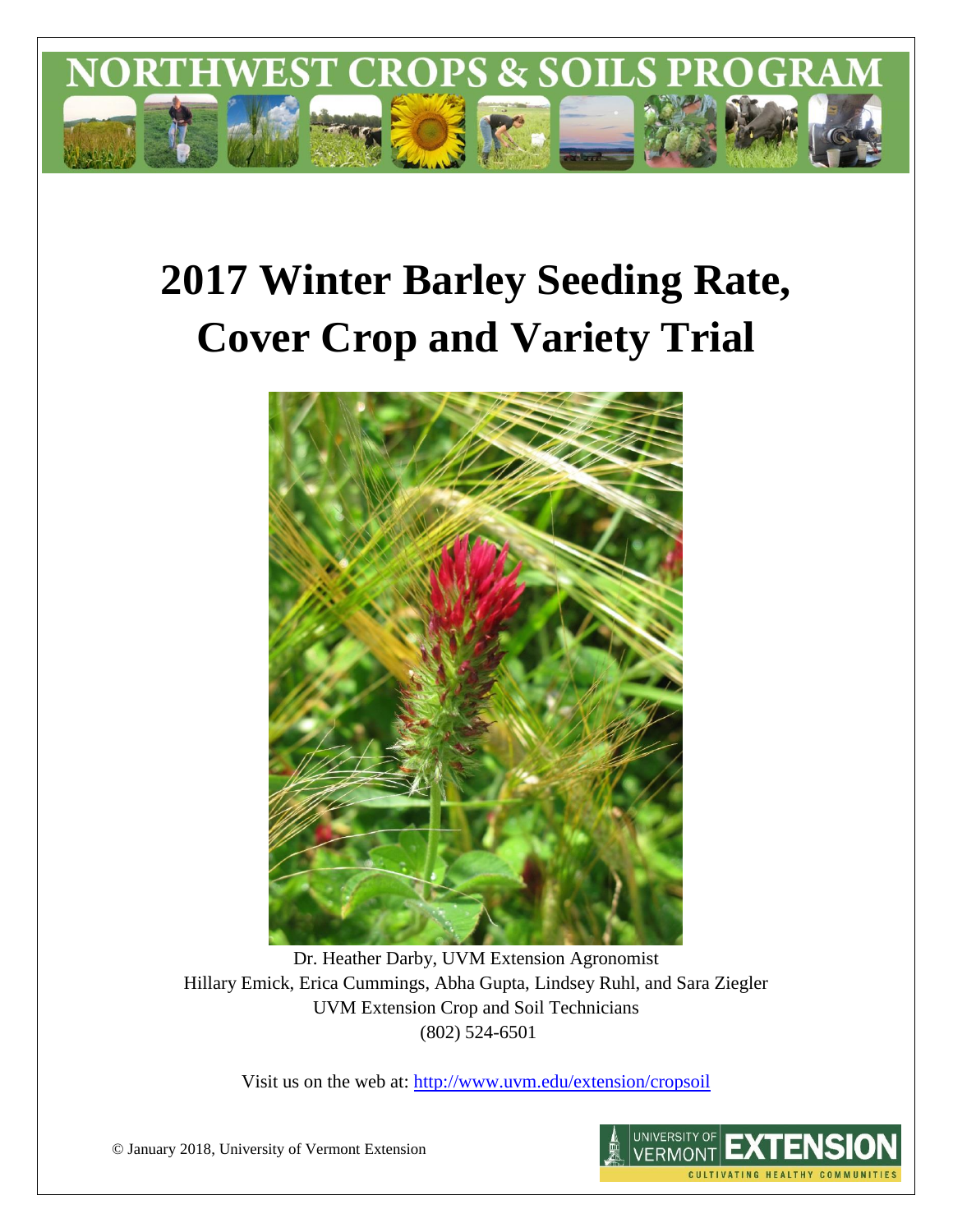

# **2017 Winter Barley Seeding Rate, Cover Crop and Variety Trial**



Dr. Heather Darby, UVM Extension Agronomist Hillary Emick, Erica Cummings, Abha Gupta, Lindsey Ruhl, and Sara Ziegler UVM Extension Crop and Soil Technicians (802) 524-6501

Visit us on the web at:<http://www.uvm.edu/extension/cropsoil>

© January 2018, University of Vermont Extension

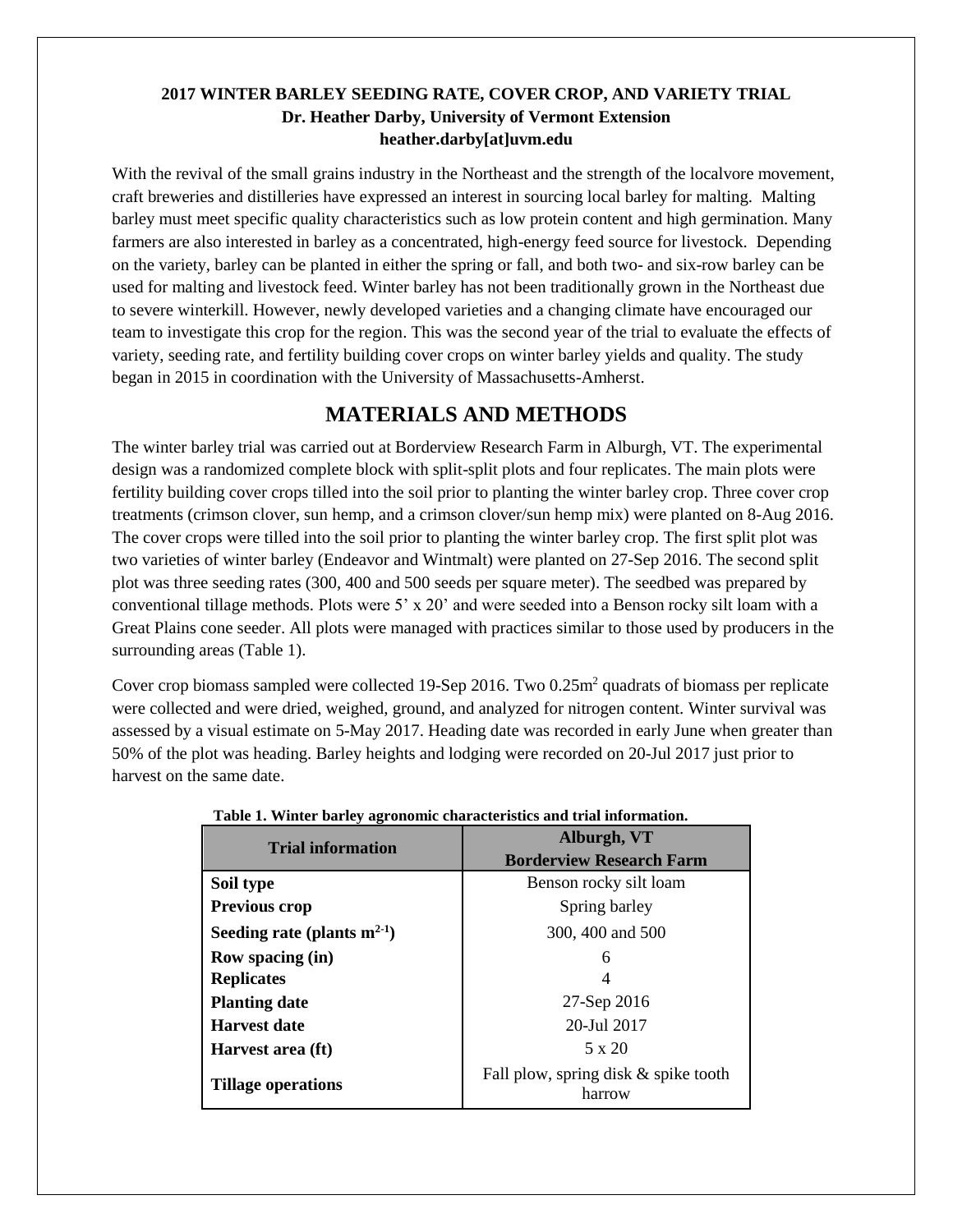### **2017 WINTER BARLEY SEEDING RATE, COVER CROP, AND VARIETY TRIAL Dr. Heather Darby, University of Vermont Extension heather.darby[at]uvm.edu**

With the revival of the small grains industry in the Northeast and the strength of the localvore movement, craft breweries and distilleries have expressed an interest in sourcing local barley for malting. Malting barley must meet specific quality characteristics such as low protein content and high germination. Many farmers are also interested in barley as a concentrated, high-energy feed source for livestock. Depending on the variety, barley can be planted in either the spring or fall, and both two- and six-row barley can be used for malting and livestock feed. Winter barley has not been traditionally grown in the Northeast due to severe winterkill. However, newly developed varieties and a changing climate have encouraged our team to investigate this crop for the region. This was the second year of the trial to evaluate the effects of variety, seeding rate, and fertility building cover crops on winter barley yields and quality. The study began in 2015 in coordination with the University of Massachusetts-Amherst.

# **MATERIALS AND METHODS**

The winter barley trial was carried out at Borderview Research Farm in Alburgh, VT. The experimental design was a randomized complete block with split-split plots and four replicates. The main plots were fertility building cover crops tilled into the soil prior to planting the winter barley crop. Three cover crop treatments (crimson clover, sun hemp, and a crimson clover/sun hemp mix) were planted on 8-Aug 2016. The cover crops were tilled into the soil prior to planting the winter barley crop. The first split plot was two varieties of winter barley (Endeavor and Wintmalt) were planted on 27-Sep 2016. The second split plot was three seeding rates (300, 400 and 500 seeds per square meter). The seedbed was prepared by conventional tillage methods. Plots were 5' x 20' and were seeded into a Benson rocky silt loam with a Great Plains cone seeder. All plots were managed with practices similar to those used by producers in the surrounding areas (Table 1).

Cover crop biomass sampled were collected 19-Sep 2016. Two 0.25m<sup>2</sup> quadrats of biomass per replicate were collected and were dried, weighed, ground, and analyzed for nitrogen content. Winter survival was assessed by a visual estimate on 5-May 2017. Heading date was recorded in early June when greater than 50% of the plot was heading. Barley heights and lodging were recorded on 20-Jul 2017 just prior to harvest on the same date.

| <b>Trial information</b>         | Alburgh, VT                                    |  |  |  |
|----------------------------------|------------------------------------------------|--|--|--|
|                                  | <b>Borderview Research Farm</b>                |  |  |  |
| Soil type                        | Benson rocky silt loam                         |  |  |  |
| Previous crop                    | Spring barley                                  |  |  |  |
| Seeding rate (plants $m^{2-1}$ ) | 300, 400 and 500                               |  |  |  |
| <b>Row spacing (in)</b>          | 6                                              |  |  |  |
| <b>Replicates</b>                |                                                |  |  |  |
| <b>Planting date</b>             | 27-Sep 2016                                    |  |  |  |
| <b>Harvest date</b>              | 20-Jul 2017                                    |  |  |  |
| Harvest area (ft)                | $5 \times 20$                                  |  |  |  |
| <b>Tillage operations</b>        | Fall plow, spring disk & spike tooth<br>harrow |  |  |  |

#### **Table 1. Winter barley agronomic characteristics and trial information.**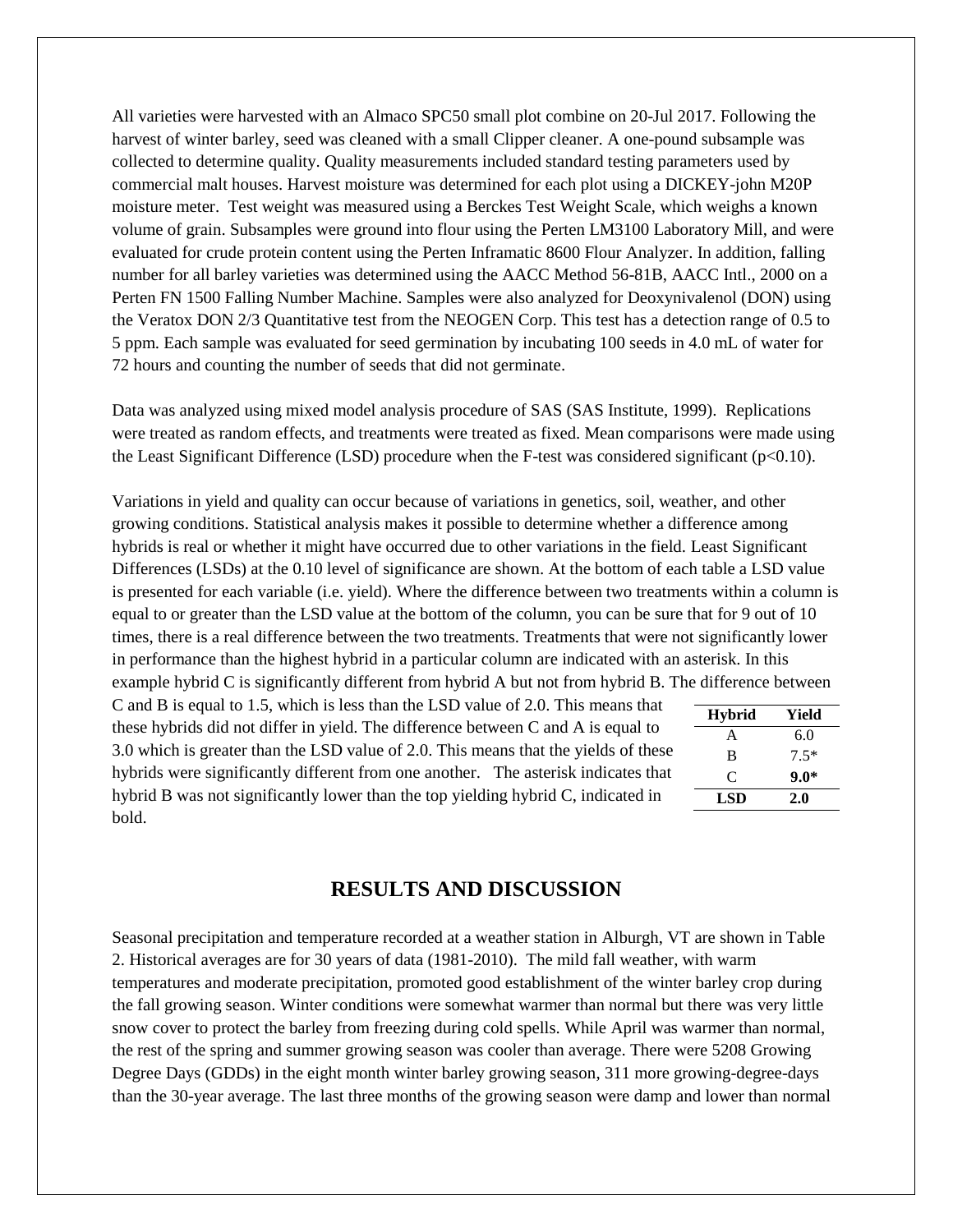All varieties were harvested with an Almaco SPC50 small plot combine on 20-Jul 2017. Following the harvest of winter barley, seed was cleaned with a small Clipper cleaner. A one-pound subsample was collected to determine quality. Quality measurements included standard testing parameters used by commercial malt houses. Harvest moisture was determined for each plot using a DICKEY-john M20P moisture meter. Test weight was measured using a Berckes Test Weight Scale, which weighs a known volume of grain. Subsamples were ground into flour using the Perten LM3100 Laboratory Mill, and were evaluated for crude protein content using the Perten Inframatic 8600 Flour Analyzer. In addition, falling number for all barley varieties was determined using the AACC Method 56-81B, AACC Intl., 2000 on a Perten FN 1500 Falling Number Machine. Samples were also analyzed for Deoxynivalenol (DON) using the Veratox DON 2/3 Quantitative test from the NEOGEN Corp. This test has a detection range of 0.5 to 5 ppm. Each sample was evaluated for seed germination by incubating 100 seeds in 4.0 mL of water for 72 hours and counting the number of seeds that did not germinate.

Data was analyzed using mixed model analysis procedure of SAS (SAS Institute, 1999). Replications were treated as random effects, and treatments were treated as fixed. Mean comparisons were made using the Least Significant Difference (LSD) procedure when the F-test was considered significant ( $p<0.10$ ).

Variations in yield and quality can occur because of variations in genetics, soil, weather, and other growing conditions. Statistical analysis makes it possible to determine whether a difference among hybrids is real or whether it might have occurred due to other variations in the field. Least Significant Differences (LSDs) at the 0.10 level of significance are shown. At the bottom of each table a LSD value is presented for each variable (i.e. yield). Where the difference between two treatments within a column is equal to or greater than the LSD value at the bottom of the column, you can be sure that for 9 out of 10 times, there is a real difference between the two treatments. Treatments that were not significantly lower in performance than the highest hybrid in a particular column are indicated with an asterisk. In this example hybrid C is significantly different from hybrid A but not from hybrid B. The difference between

C and B is equal to 1.5, which is less than the LSD value of 2.0. This means that these hybrids did not differ in yield. The difference between C and A is equal to 3.0 which is greater than the LSD value of 2.0. This means that the yields of these hybrids were significantly different from one another. The asterisk indicates that hybrid B was not significantly lower than the top yielding hybrid C, indicated in bold.

| <b>Hybrid</b> | Yield  |
|---------------|--------|
| A             | 6.0    |
| B             | $7.5*$ |
| C             | $9.0*$ |
| LSD           | 2.0    |

## **RESULTS AND DISCUSSION**

Seasonal precipitation and temperature recorded at a weather station in Alburgh, VT are shown in Table 2. Historical averages are for 30 years of data (1981-2010). The mild fall weather, with warm temperatures and moderate precipitation, promoted good establishment of the winter barley crop during the fall growing season. Winter conditions were somewhat warmer than normal but there was very little snow cover to protect the barley from freezing during cold spells. While April was warmer than normal, the rest of the spring and summer growing season was cooler than average. There were 5208 Growing Degree Days (GDDs) in the eight month winter barley growing season, 311 more growing-degree-days than the 30-year average. The last three months of the growing season were damp and lower than normal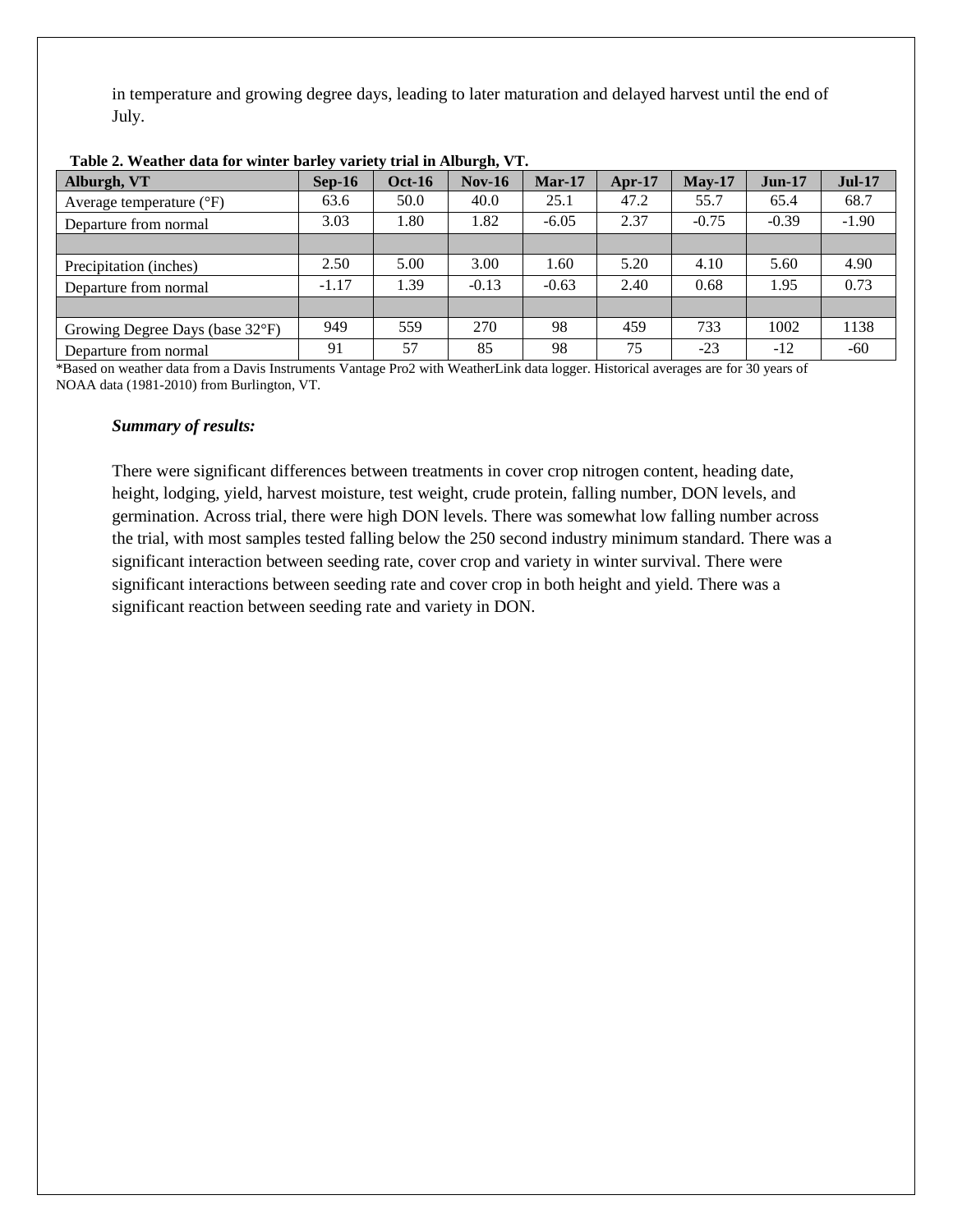in temperature and growing degree days, leading to later maturation and delayed harvest until the end of July.

| Alburgh, VT                       | $Sep-16$ | <b>Oct-16</b> | $Nov-16$ | $Mar-17$ | $Apr-17$ | $Mav-17$ | $Jun-17$ | $Jul-17$ |
|-----------------------------------|----------|---------------|----------|----------|----------|----------|----------|----------|
| Average temperature $(^{\circ}F)$ | 63.6     | 50.0          | 40.0     | 25.1     | 47.2     | 55.7     | 65.4     | 68.7     |
| Departure from normal             | 3.03     | .80           | 1.82     | $-6.05$  | 2.37     | $-0.75$  | $-0.39$  | $-1.90$  |
|                                   |          |               |          |          |          |          |          |          |
| Precipitation (inches)            | 2.50     | 5.00          | 3.00     | 1.60     | 5.20     | 4.10     | 5.60     | 4.90     |
| Departure from normal             | $-1.17$  | l.39          | $-0.13$  | $-0.63$  | 2.40     | 0.68     | 1.95     | 0.73     |
|                                   |          |               |          |          |          |          |          |          |
| Growing Degree Days (base 32°F)   | 949      | 559           | 270      | 98       | 459      | 733      | 1002     | 1138     |
| Departure from normal             | 91       | 57            | 85       | 98       | 75       | $-23$    | $-12$    | $-60$    |

**Table 2. Weather data for winter barley variety trial in Alburgh, VT.**

\*Based on weather data from a Davis Instruments Vantage Pro2 with WeatherLink data logger. Historical averages are for 30 years of NOAA data (1981-2010) from Burlington, VT.

#### *Summary of results:*

There were significant differences between treatments in cover crop nitrogen content, heading date, height, lodging, yield, harvest moisture, test weight, crude protein, falling number, DON levels, and germination. Across trial, there were high DON levels. There was somewhat low falling number across the trial, with most samples tested falling below the 250 second industry minimum standard. There was a significant interaction between seeding rate, cover crop and variety in winter survival. There were significant interactions between seeding rate and cover crop in both height and yield. There was a significant reaction between seeding rate and variety in DON.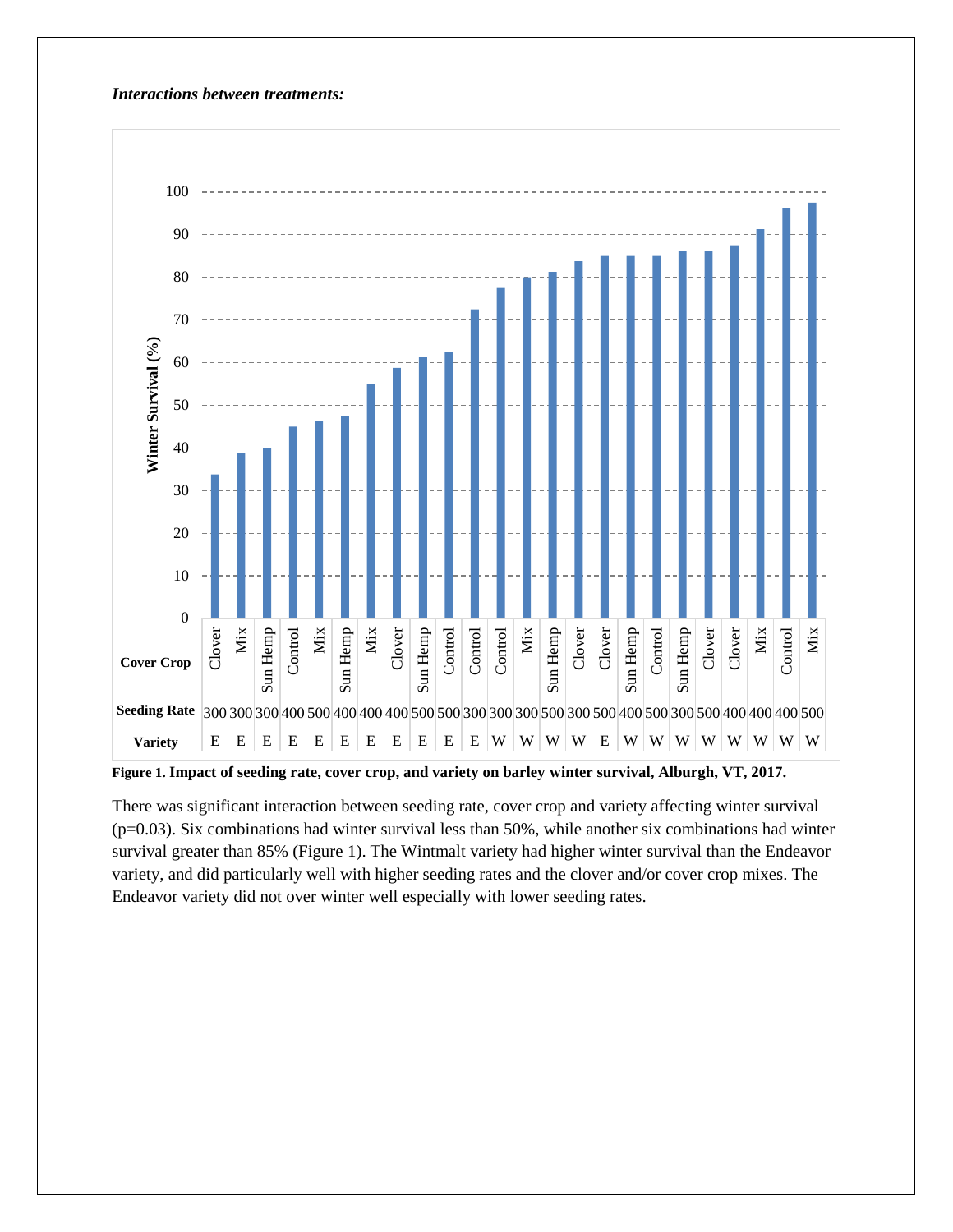#### *Interactions between treatments:*



**Figure 1. Impact of seeding rate, cover crop, and variety on barley winter survival, Alburgh, VT, 2017.**

There was significant interaction between seeding rate, cover crop and variety affecting winter survival (p=0.03). Six combinations had winter survival less than 50%, while another six combinations had winter survival greater than 85% (Figure 1). The Wintmalt variety had higher winter survival than the Endeavor variety, and did particularly well with higher seeding rates and the clover and/or cover crop mixes. The Endeavor variety did not over winter well especially with lower seeding rates.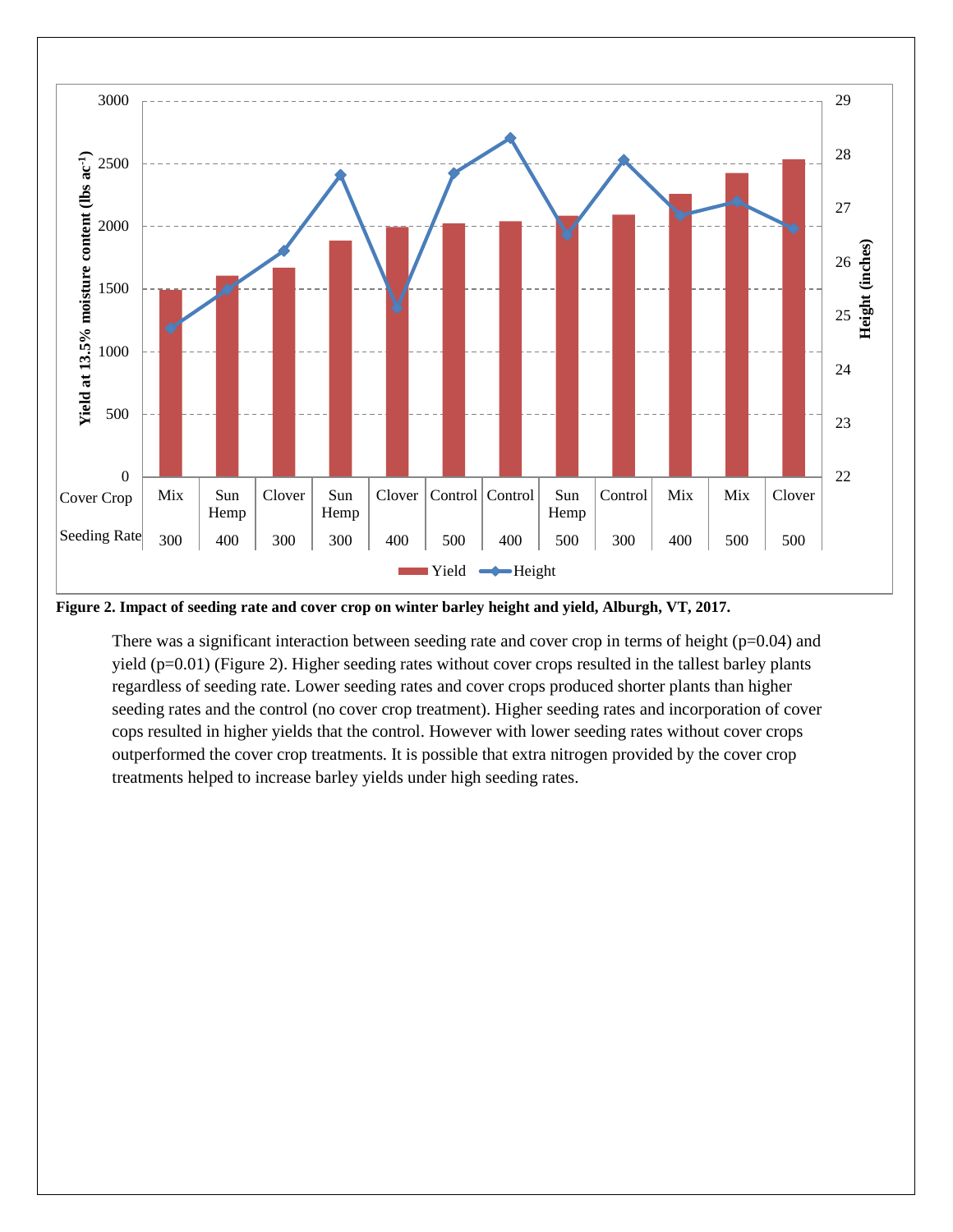

**Figure 2. Impact of seeding rate and cover crop on winter barley height and yield, Alburgh, VT, 2017.**

There was a significant interaction between seeding rate and cover crop in terms of height ( $p=0.04$ ) and yield (p=0.01) (Figure 2). Higher seeding rates without cover crops resulted in the tallest barley plants regardless of seeding rate. Lower seeding rates and cover crops produced shorter plants than higher seeding rates and the control (no cover crop treatment). Higher seeding rates and incorporation of cover cops resulted in higher yields that the control. However with lower seeding rates without cover crops outperformed the cover crop treatments. It is possible that extra nitrogen provided by the cover crop treatments helped to increase barley yields under high seeding rates.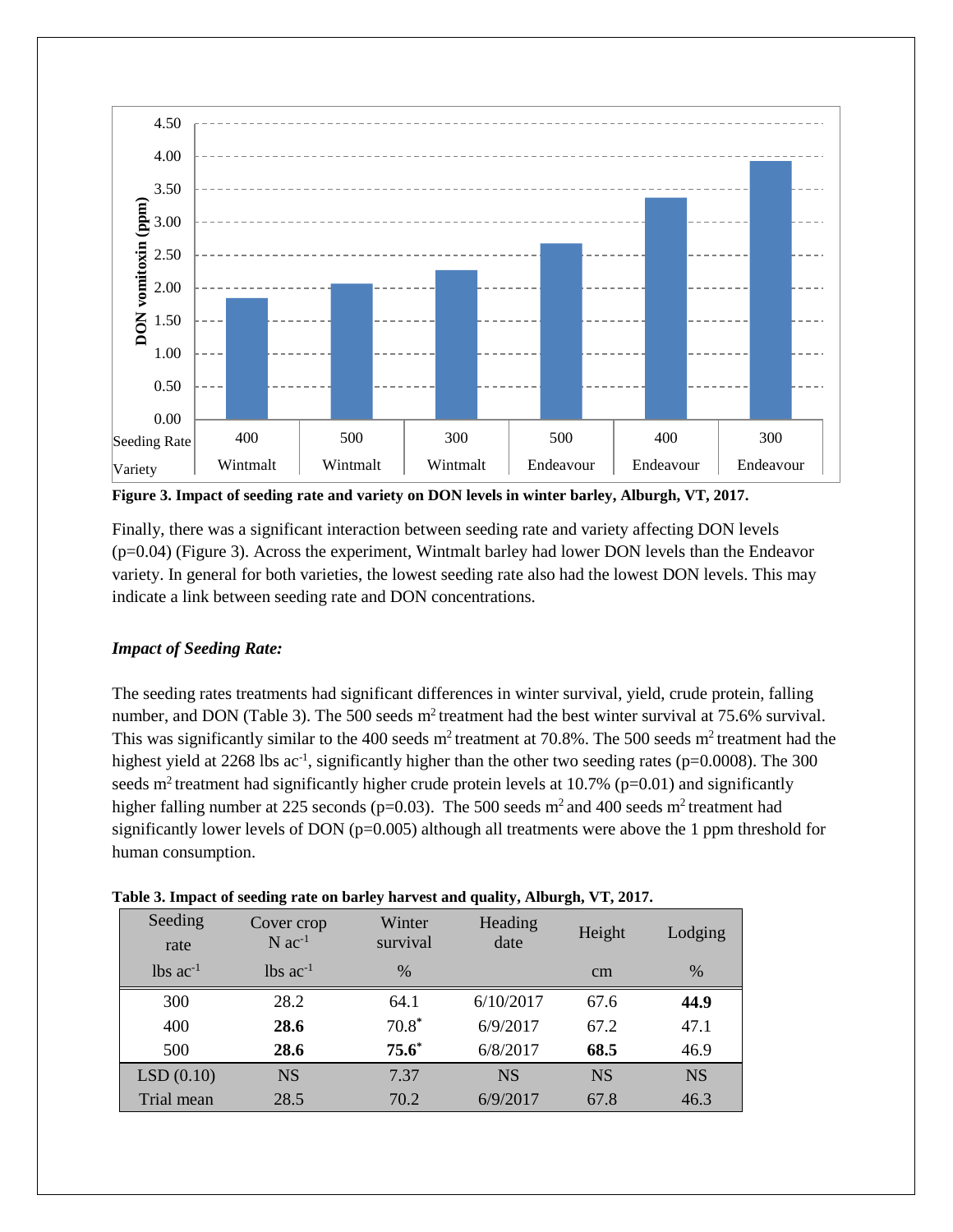

**Figure 3. Impact of seeding rate and variety on DON levels in winter barley, Alburgh, VT, 2017.**

Finally, there was a significant interaction between seeding rate and variety affecting DON levels (p=0.04) (Figure 3). Across the experiment, Wintmalt barley had lower DON levels than the Endeavor variety. In general for both varieties, the lowest seeding rate also had the lowest DON levels. This may indicate a link between seeding rate and DON concentrations.

#### *Impact of Seeding Rate:*

The seeding rates treatments had significant differences in winter survival, yield, crude protein, falling number, and DON (Table 3). The 500 seeds  $m^2$  treatment had the best winter survival at 75.6% survival. This was significantly similar to the 400 seeds  $m^2$  treatment at 70.8%. The 500 seeds  $m^2$  treatment had the highest yield at 2268 lbs ac<sup>-1</sup>, significantly higher than the other two seeding rates (p=0.0008). The 300 seeds m<sup>2</sup> treatment had significantly higher crude protein levels at 10.7% ( $p=0.01$ ) and significantly higher falling number at 225 seconds ( $p=0.03$ ). The 500 seeds m<sup>2</sup> and 400 seeds m<sup>2</sup> treatment had significantly lower levels of DON (p=0.005) although all treatments were above the 1 ppm threshold for human consumption.

|                        | -                                  | $\cdot$            | $\sim$          | 。         |           |
|------------------------|------------------------------------|--------------------|-----------------|-----------|-----------|
| Seeding<br>rate        | Cover crop<br>$N$ ac <sup>-1</sup> | Winter<br>survival | Heading<br>date | Height    | Lodging   |
| $lbs$ ac <sup>-1</sup> | $lbs$ ac <sup>-1</sup>             | $\frac{0}{0}$      |                 | cm        | $\%$      |
| 300                    | 28.2                               | 64.1               | 6/10/2017       | 67.6      | 44.9      |
| 400                    | 28.6                               | $70.8*$            | 6/9/2017        | 67.2      | 47.1      |
| 500                    | 28.6                               | $75.6*$            | 6/8/2017        | 68.5      | 46.9      |
| LSD(0.10)              | <b>NS</b>                          | 7.37               | <b>NS</b>       | <b>NS</b> | <b>NS</b> |
| Trial mean             | 28.5                               | 70.2               | 6/9/2017        | 67.8      | 46.3      |

|  |  | Table 3. Impact of seeding rate on barley harvest and quality, Alburgh, VT, 2017. |  |  |
|--|--|-----------------------------------------------------------------------------------|--|--|
|  |  |                                                                                   |  |  |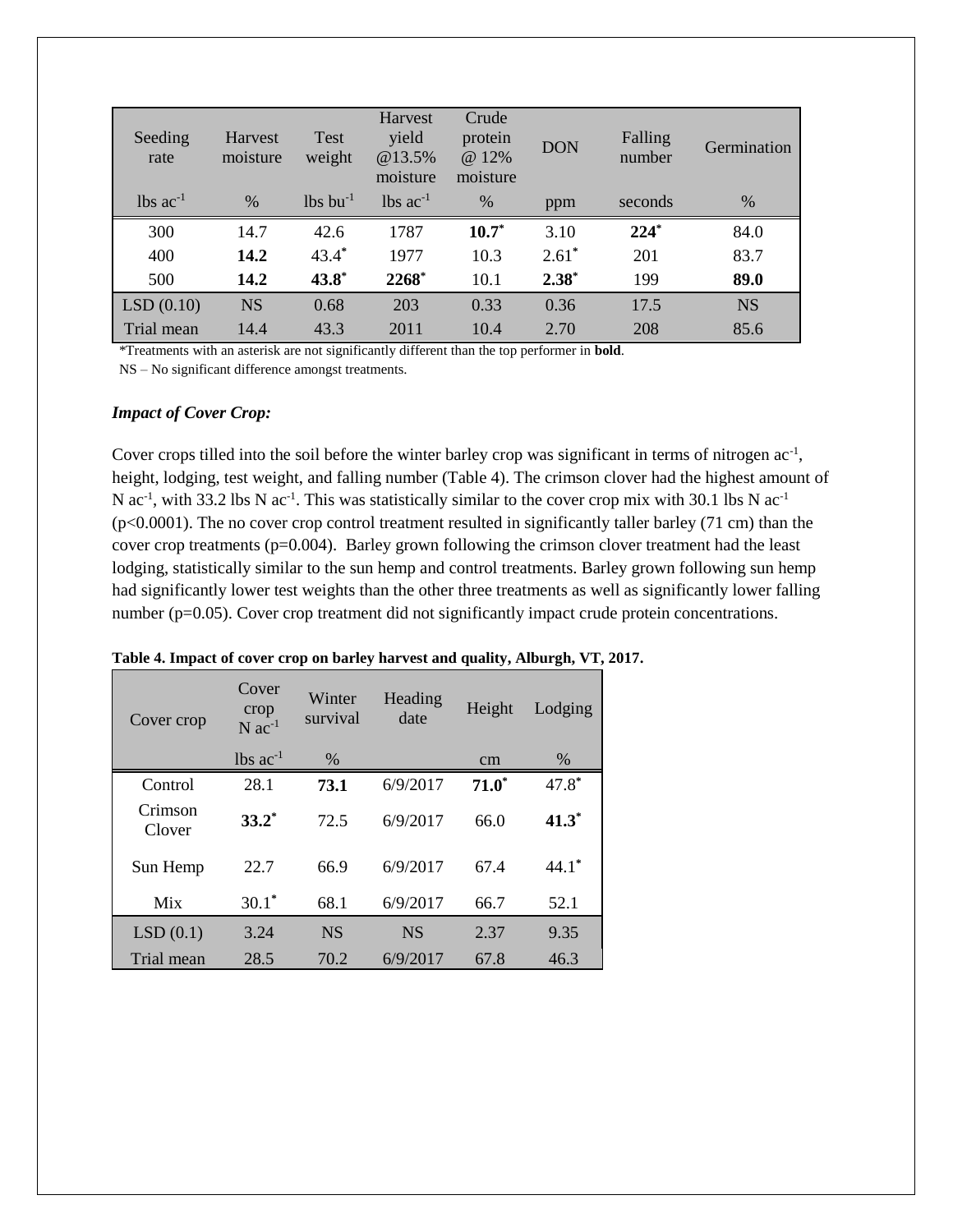| Seeding<br>rate        | Harvest<br>moisture | <b>Test</b><br>weight  | Harvest<br>yield<br>@13.5%<br>moisture | Crude<br>protein<br>@ 12%<br>moisture | <b>DON</b> | Falling<br>number | Germination |
|------------------------|---------------------|------------------------|----------------------------------------|---------------------------------------|------------|-------------------|-------------|
| $lbs$ ac <sup>-1</sup> | $\%$                | $lbs$ bu <sup>-1</sup> | $lbs$ ac <sup>-1</sup>                 | $\%$                                  | ppm        | seconds           | $\%$        |
| 300                    | 14.7                | 42.6                   | 1787                                   | $10.7*$                               | 3.10       | $224*$            | 84.0        |
| 400                    | 14.2                | $43.4*$                | 1977                                   | 10.3                                  | $2.61^*$   | 201               | 83.7        |
| 500                    | 14.2                | $43.8^*$               | 2268*                                  | 10.1                                  | $2.38*$    | 199               | 89.0        |
| LSD(0.10)              | <b>NS</b>           | 0.68                   | 203                                    | 0.33                                  | 0.36       | 17.5              | <b>NS</b>   |
| Trial mean             | 14.4                | 43.3                   | 2011                                   | 10.4                                  | 2.70       | 208               | 85.6        |

\*Treatments with an asterisk are not significantly different than the top performer in **bold**.

NS – No significant difference amongst treatments.

#### *Impact of Cover Crop:*

Cover crops tilled into the soil before the winter barley crop was significant in terms of nitrogen ac<sup>-1</sup>, height, lodging, test weight, and falling number (Table 4). The crimson clover had the highest amount of N ac<sup>-1</sup>, with 33.2 lbs N ac<sup>-1</sup>. This was statistically similar to the cover crop mix with 30.1 lbs N ac<sup>-1</sup> (p<0.0001). The no cover crop control treatment resulted in significantly taller barley (71 cm) than the cover crop treatments (p=0.004). Barley grown following the crimson clover treatment had the least lodging, statistically similar to the sun hemp and control treatments. Barley grown following sun hemp had significantly lower test weights than the other three treatments as well as significantly lower falling number (p=0.05). Cover crop treatment did not significantly impact crude protein concentrations.

| Cover crop        | Cover<br>crop<br>$N$ ac <sup>-1</sup> | Winter<br>survival | Heading<br>date | Height  | Lodging |
|-------------------|---------------------------------------|--------------------|-----------------|---------|---------|
|                   | $lbs$ ac <sup>-1</sup>                | $\%$               |                 | cm      | $\%$    |
| Control           | 28.1                                  | 73.1               | 6/9/2017        | $71.0*$ | $47.8*$ |
| Crimson<br>Clover | $33.2^*$                              | 72.5               | 6/9/2017        | 66.0    | $41.3*$ |
| Sun Hemp          | 22.7                                  | 66.9               | 6/9/2017        | 67.4    | $44.1*$ |
| Mix               | $30.1*$                               | 68.1               | 6/9/2017        | 66.7    | 52.1    |
| LSD(0.1)          | 3.24                                  | <b>NS</b>          | <b>NS</b>       | 2.37    | 9.35    |
| Trial mean        | 28.5                                  | 70.2               | 6/9/2017        | 67.8    | 46.3    |

**Table 4. Impact of cover crop on barley harvest and quality, Alburgh, VT, 2017.**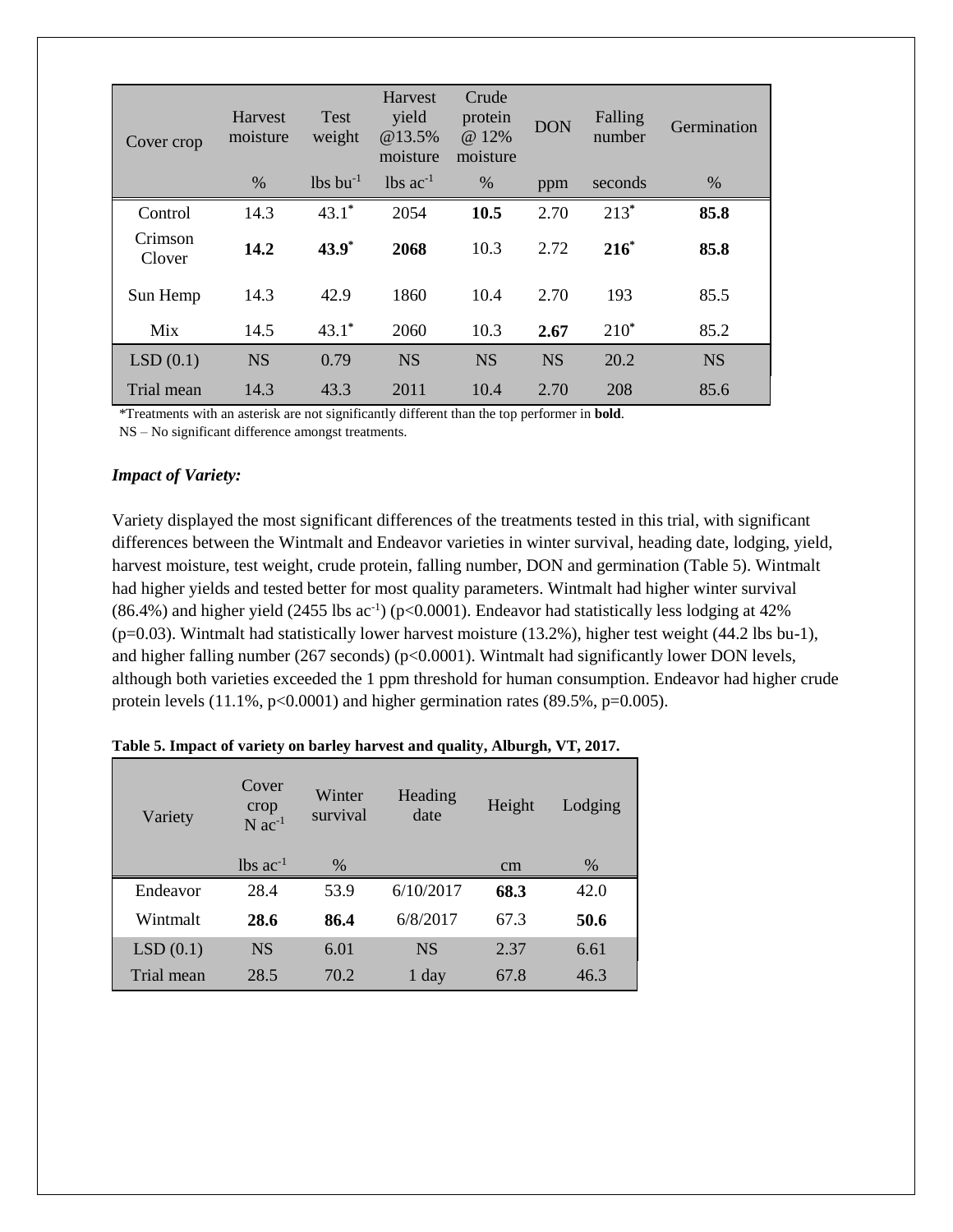| Cover crop        | Harvest<br>moisture | <b>Test</b><br>weight  | Harvest<br>yield<br>@13.5%<br>moisture | Crude<br>protein<br>@ 12%<br>moisture | <b>DON</b> | Falling<br>number | Germination |
|-------------------|---------------------|------------------------|----------------------------------------|---------------------------------------|------------|-------------------|-------------|
|                   | $\%$                | $lbs$ bu <sup>-1</sup> | $\log ac^{-1}$                         | $\%$                                  | ppm        | seconds           | %           |
| Control           | 14.3                | $43.1*$                | 2054                                   | 10.5                                  | 2.70       | $213*$            | 85.8        |
| Crimson<br>Clover | 14.2                | $43.9^*$               | 2068                                   | 10.3                                  | 2.72       | $216*$            | 85.8        |
| Sun Hemp          | 14.3                | 42.9                   | 1860                                   | 10.4                                  | 2.70       | 193               | 85.5        |
| Mix               | 14.5                | $43.1^*$               | 2060                                   | 10.3                                  | 2.67       | $210^*$           | 85.2        |
| LSD(0.1)          | <b>NS</b>           | 0.79                   | <b>NS</b>                              | <b>NS</b>                             | <b>NS</b>  | 20.2              | <b>NS</b>   |
| Trial mean        | 14.3                | 43.3                   | 2011                                   | 10.4                                  | 2.70       | 208               | 85.6        |

\*Treatments with an asterisk are not significantly different than the top performer in **bold**.

NS – No significant difference amongst treatments.

#### *Impact of Variety:*

Variety displayed the most significant differences of the treatments tested in this trial, with significant differences between the Wintmalt and Endeavor varieties in winter survival, heading date, lodging, yield, harvest moisture, test weight, crude protein, falling number, DON and germination (Table 5). Wintmalt had higher yields and tested better for most quality parameters. Wintmalt had higher winter survival  $(86.4\%)$  and higher yield  $(2455 \text{ lbs} \text{ ac}^{-1})$  (p<0.0001). Endeavor had statistically less lodging at 42% (p=0.03). Wintmalt had statistically lower harvest moisture (13.2%), higher test weight (44.2 lbs bu-1), and higher falling number (267 seconds) ( $p<0.0001$ ). Wintmalt had significantly lower DON levels, although both varieties exceeded the 1 ppm threshold for human consumption. Endeavor had higher crude protein levels  $(11.1\%, p<0.0001)$  and higher germination rates  $(89.5\%, p=0.005)$ .

| Variety    | Cover<br>crop<br>$N$ ac <sup>-1</sup> | Winter<br>survival | Heading<br>date | Height | Lodging |
|------------|---------------------------------------|--------------------|-----------------|--------|---------|
|            | $lbs$ ac <sup>-1</sup>                | %                  |                 | cm     | $\%$    |
| Endeavor   | 28.4                                  | 53.9               | 6/10/2017       | 68.3   | 42.0    |
| Wintmalt   | 28.6                                  | 86.4               | 6/8/2017        | 67.3   | 50.6    |
| LSD(0.1)   | <b>NS</b>                             | 6.01               | <b>NS</b>       | 2.37   | 6.61    |
| Trial mean | 28.5                                  | 70.2               | 1 day           | 67.8   | 46.3    |

**Table 5. Impact of variety on barley harvest and quality, Alburgh, VT, 2017.**